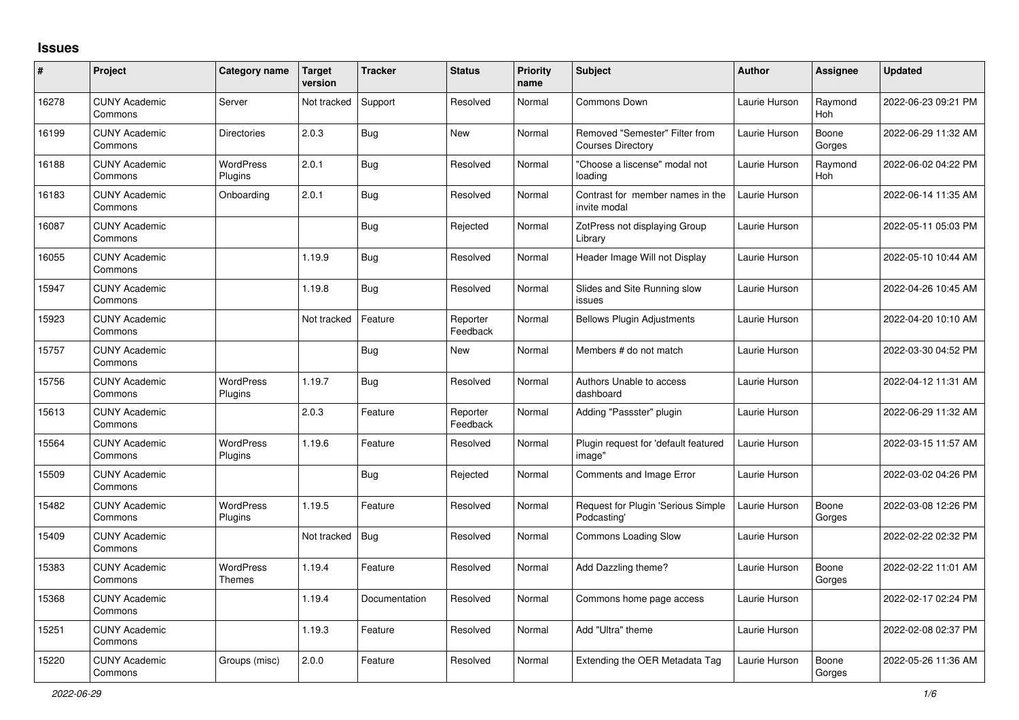## **Issues**

| $\#$  | Project                         | Category name                     | <b>Target</b><br>version | <b>Tracker</b> | <b>Status</b>        | <b>Priority</b><br>name | <b>Subject</b>                                             | <b>Author</b> | Assignee        | Updated             |
|-------|---------------------------------|-----------------------------------|--------------------------|----------------|----------------------|-------------------------|------------------------------------------------------------|---------------|-----------------|---------------------|
| 16278 | <b>CUNY Academic</b><br>Commons | Server                            | Not tracked              | Support        | Resolved             | Normal                  | Commons Down                                               | Laurie Hurson | Raymond<br>Hoh  | 2022-06-23 09:21 PM |
| 16199 | <b>CUNY Academic</b><br>Commons | <b>Directories</b>                | 2.0.3                    | Bug            | New                  | Normal                  | Removed "Semester" Filter from<br><b>Courses Directory</b> | Laurie Hurson | Boone<br>Gorges | 2022-06-29 11:32 AM |
| 16188 | <b>CUNY Academic</b><br>Commons | <b>WordPress</b><br>Plugins       | 2.0.1                    | <b>Bug</b>     | Resolved             | Normal                  | "Choose a liscense" modal not<br>loading                   | Laurie Hurson | Raymond<br>Hoh  | 2022-06-02 04:22 PM |
| 16183 | <b>CUNY Academic</b><br>Commons | Onboarding                        | 2.0.1                    | Bug            | Resolved             | Normal                  | Contrast for member names in the<br>invite modal           | Laurie Hurson |                 | 2022-06-14 11:35 AM |
| 16087 | <b>CUNY Academic</b><br>Commons |                                   |                          | Bug            | Rejected             | Normal                  | ZotPress not displaying Group<br>Library                   | Laurie Hurson |                 | 2022-05-11 05:03 PM |
| 16055 | <b>CUNY Academic</b><br>Commons |                                   | 1.19.9                   | <b>Bug</b>     | Resolved             | Normal                  | Header Image Will not Display                              | Laurie Hurson |                 | 2022-05-10 10:44 AM |
| 15947 | <b>CUNY Academic</b><br>Commons |                                   | 1.19.8                   | <b>Bug</b>     | Resolved             | Normal                  | Slides and Site Running slow<br>issues                     | Laurie Hurson |                 | 2022-04-26 10:45 AM |
| 15923 | <b>CUNY Academic</b><br>Commons |                                   | Not tracked              | Feature        | Reporter<br>Feedback | Normal                  | <b>Bellows Plugin Adjustments</b>                          | Laurie Hurson |                 | 2022-04-20 10:10 AM |
| 15757 | <b>CUNY Academic</b><br>Commons |                                   |                          | Bug            | <b>New</b>           | Normal                  | Members # do not match                                     | Laurie Hurson |                 | 2022-03-30 04:52 PM |
| 15756 | <b>CUNY Academic</b><br>Commons | WordPress<br>Plugins              | 1.19.7                   | <b>Bug</b>     | Resolved             | Normal                  | Authors Unable to access<br>dashboard                      | Laurie Hurson |                 | 2022-04-12 11:31 AM |
| 15613 | <b>CUNY Academic</b><br>Commons |                                   | 2.0.3                    | Feature        | Reporter<br>Feedback | Normal                  | Adding "Passster" plugin                                   | Laurie Hurson |                 | 2022-06-29 11:32 AM |
| 15564 | <b>CUNY Academic</b><br>Commons | WordPress<br>Plugins              | 1.19.6                   | Feature        | Resolved             | Normal                  | Plugin request for 'default featured<br>image"             | Laurie Hurson |                 | 2022-03-15 11:57 AM |
| 15509 | <b>CUNY Academic</b><br>Commons |                                   |                          | <b>Bug</b>     | Rejected             | Normal                  | Comments and Image Error                                   | Laurie Hurson |                 | 2022-03-02 04:26 PM |
| 15482 | <b>CUNY Academic</b><br>Commons | WordPress<br>Plugins              | 1.19.5                   | Feature        | Resolved             | Normal                  | Request for Plugin 'Serious Simple<br>Podcasting'          | Laurie Hurson | Boone<br>Gorges | 2022-03-08 12:26 PM |
| 15409 | <b>CUNY Academic</b><br>Commons |                                   | Not tracked              | <b>Bug</b>     | Resolved             | Normal                  | Commons Loading Slow                                       | Laurie Hurson |                 | 2022-02-22 02:32 PM |
| 15383 | <b>CUNY Academic</b><br>Commons | <b>WordPress</b><br><b>Themes</b> | 1.19.4                   | Feature        | Resolved             | Normal                  | Add Dazzling theme?                                        | Laurie Hurson | Boone<br>Gorges | 2022-02-22 11:01 AM |
| 15368 | <b>CUNY Academic</b><br>Commons |                                   | 1.19.4                   | Documentation  | Resolved             | Normal                  | Commons home page access                                   | Laurie Hurson |                 | 2022-02-17 02:24 PM |
| 15251 | <b>CUNY Academic</b><br>Commons |                                   | 1.19.3                   | Feature        | Resolved             | Normal                  | Add "Ultra" theme                                          | Laurie Hurson |                 | 2022-02-08 02:37 PM |
| 15220 | <b>CUNY Academic</b><br>Commons | Groups (misc)                     | 2.0.0                    | Feature        | Resolved             | Normal                  | Extending the OER Metadata Tag                             | Laurie Hurson | Boone<br>Gorges | 2022-05-26 11:36 AM |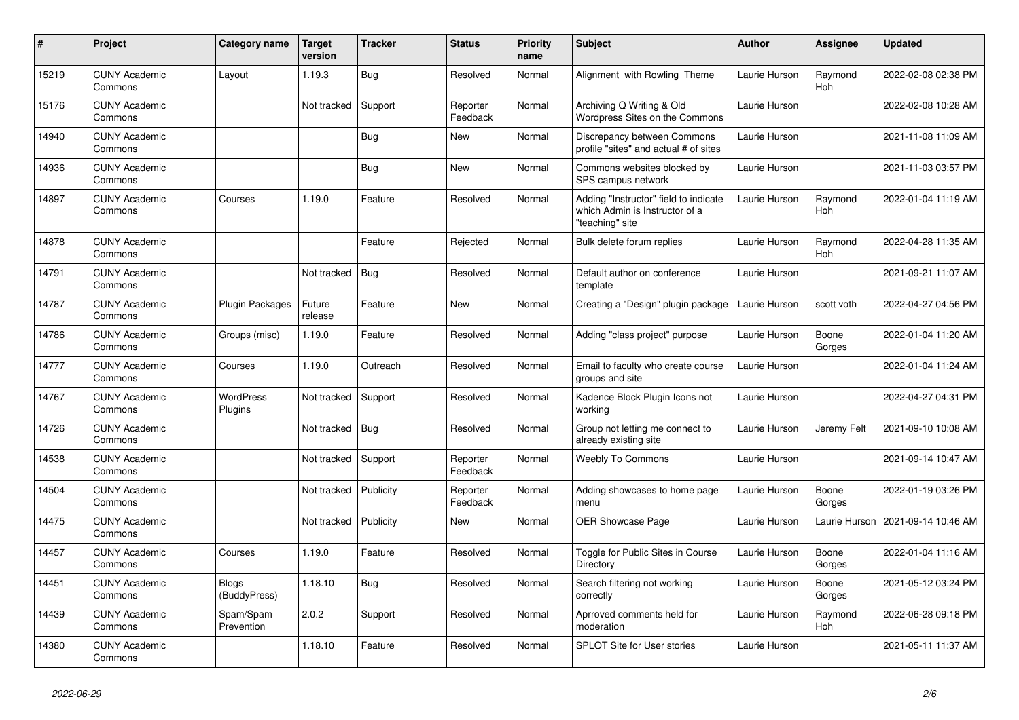| $\vert$ # | Project                         | Category name               | <b>Target</b><br>version | <b>Tracker</b> | <b>Status</b>        | <b>Priority</b><br>name | <b>Subject</b>                                                                             | Author        | <b>Assignee</b> | <b>Updated</b>      |
|-----------|---------------------------------|-----------------------------|--------------------------|----------------|----------------------|-------------------------|--------------------------------------------------------------------------------------------|---------------|-----------------|---------------------|
| 15219     | <b>CUNY Academic</b><br>Commons | Layout                      | 1.19.3                   | Bug            | Resolved             | Normal                  | Alignment with Rowling Theme                                                               | Laurie Hurson | Raymond<br>Hoh  | 2022-02-08 02:38 PM |
| 15176     | <b>CUNY Academic</b><br>Commons |                             | Not tracked              | Support        | Reporter<br>Feedback | Normal                  | Archiving Q Writing & Old<br>Wordpress Sites on the Commons                                | Laurie Hurson |                 | 2022-02-08 10:28 AM |
| 14940     | <b>CUNY Academic</b><br>Commons |                             |                          | Bug            | New                  | Normal                  | Discrepancy between Commons<br>profile "sites" and actual # of sites                       | Laurie Hurson |                 | 2021-11-08 11:09 AM |
| 14936     | <b>CUNY Academic</b><br>Commons |                             |                          | <b>Bug</b>     | New                  | Normal                  | Commons websites blocked by<br>SPS campus network                                          | Laurie Hurson |                 | 2021-11-03 03:57 PM |
| 14897     | <b>CUNY Academic</b><br>Commons | Courses                     | 1.19.0                   | Feature        | Resolved             | Normal                  | Adding "Instructor" field to indicate<br>which Admin is Instructor of a<br>"teaching" site | Laurie Hurson | Raymond<br>Hoh  | 2022-01-04 11:19 AM |
| 14878     | <b>CUNY Academic</b><br>Commons |                             |                          | Feature        | Rejected             | Normal                  | Bulk delete forum replies                                                                  | Laurie Hurson | Raymond<br>Hoh  | 2022-04-28 11:35 AM |
| 14791     | <b>CUNY Academic</b><br>Commons |                             | Not tracked              | <b>Bug</b>     | Resolved             | Normal                  | Default author on conference<br>template                                                   | Laurie Hurson |                 | 2021-09-21 11:07 AM |
| 14787     | <b>CUNY Academic</b><br>Commons | Plugin Packages             | Future<br>release        | Feature        | New                  | Normal                  | Creating a "Design" plugin package                                                         | Laurie Hurson | scott voth      | 2022-04-27 04:56 PM |
| 14786     | <b>CUNY Academic</b><br>Commons | Groups (misc)               | 1.19.0                   | Feature        | Resolved             | Normal                  | Adding "class project" purpose                                                             | Laurie Hurson | Boone<br>Gorges | 2022-01-04 11:20 AM |
| 14777     | <b>CUNY Academic</b><br>Commons | Courses                     | 1.19.0                   | Outreach       | Resolved             | Normal                  | Email to faculty who create course<br>groups and site                                      | Laurie Hurson |                 | 2022-01-04 11:24 AM |
| 14767     | <b>CUNY Academic</b><br>Commons | <b>WordPress</b><br>Plugins | Not tracked              | Support        | Resolved             | Normal                  | Kadence Block Plugin Icons not<br>working                                                  | Laurie Hurson |                 | 2022-04-27 04:31 PM |
| 14726     | <b>CUNY Academic</b><br>Commons |                             | Not tracked              | Bug            | Resolved             | Normal                  | Group not letting me connect to<br>already existing site                                   | Laurie Hurson | Jeremy Felt     | 2021-09-10 10:08 AM |
| 14538     | <b>CUNY Academic</b><br>Commons |                             | Not tracked              | Support        | Reporter<br>Feedback | Normal                  | <b>Weebly To Commons</b>                                                                   | Laurie Hurson |                 | 2021-09-14 10:47 AM |
| 14504     | <b>CUNY Academic</b><br>Commons |                             | Not tracked              | Publicity      | Reporter<br>Feedback | Normal                  | Adding showcases to home page<br>menu                                                      | Laurie Hurson | Boone<br>Gorges | 2022-01-19 03:26 PM |
| 14475     | <b>CUNY Academic</b><br>Commons |                             | Not tracked              | Publicity      | New                  | Normal                  | OER Showcase Page                                                                          | Laurie Hurson | Laurie Hurson   | 2021-09-14 10:46 AM |
| 14457     | <b>CUNY Academic</b><br>Commons | Courses                     | 1.19.0                   | Feature        | Resolved             | Normal                  | Toggle for Public Sites in Course<br>Directory                                             | Laurie Hurson | Boone<br>Gorges | 2022-01-04 11:16 AM |
| 14451     | <b>CUNY Academic</b><br>Commons | Blogs<br>(BuddyPress)       | 1.18.10                  | Bug            | Resolved             | Normal                  | Search filtering not working<br>correctly                                                  | Laurie Hurson | Boone<br>Gorges | 2021-05-12 03:24 PM |
| 14439     | <b>CUNY Academic</b><br>Commons | Spam/Spam<br>Prevention     | 2.0.2                    | Support        | Resolved             | Normal                  | Aprroved comments held for<br>moderation                                                   | Laurie Hurson | Raymond<br>Hoh  | 2022-06-28 09:18 PM |
| 14380     | <b>CUNY Academic</b><br>Commons |                             | 1.18.10                  | Feature        | Resolved             | Normal                  | SPLOT Site for User stories                                                                | Laurie Hurson |                 | 2021-05-11 11:37 AM |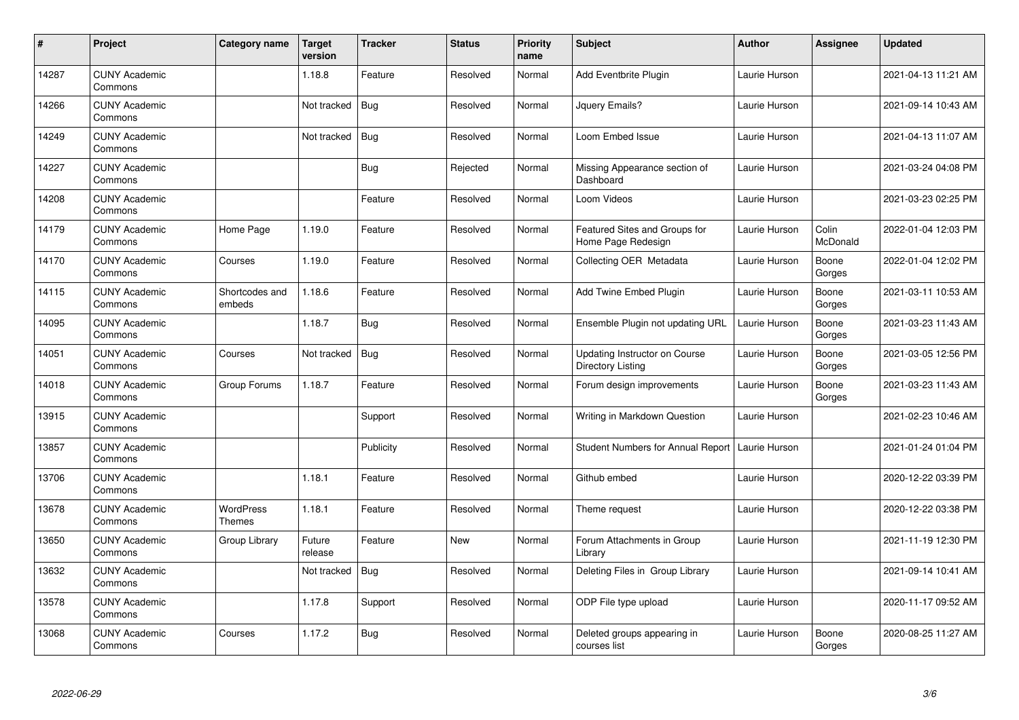| $\sharp$ | Project                         | Category name              | <b>Target</b><br>version | <b>Tracker</b> | <b>Status</b> | <b>Priority</b><br>name | <b>Subject</b>                                      | <b>Author</b> | Assignee          | <b>Updated</b>      |
|----------|---------------------------------|----------------------------|--------------------------|----------------|---------------|-------------------------|-----------------------------------------------------|---------------|-------------------|---------------------|
| 14287    | <b>CUNY Academic</b><br>Commons |                            | 1.18.8                   | Feature        | Resolved      | Normal                  | Add Eventbrite Plugin                               | Laurie Hurson |                   | 2021-04-13 11:21 AM |
| 14266    | <b>CUNY Academic</b><br>Commons |                            | Not tracked              | <b>Bug</b>     | Resolved      | Normal                  | Jquery Emails?                                      | Laurie Hurson |                   | 2021-09-14 10:43 AM |
| 14249    | <b>CUNY Academic</b><br>Commons |                            | Not tracked              | <b>Bug</b>     | Resolved      | Normal                  | Loom Embed Issue                                    | Laurie Hurson |                   | 2021-04-13 11:07 AM |
| 14227    | <b>CUNY Academic</b><br>Commons |                            |                          | Bug            | Rejected      | Normal                  | Missing Appearance section of<br>Dashboard          | Laurie Hurson |                   | 2021-03-24 04:08 PM |
| 14208    | <b>CUNY Academic</b><br>Commons |                            |                          | Feature        | Resolved      | Normal                  | Loom Videos                                         | Laurie Hurson |                   | 2021-03-23 02:25 PM |
| 14179    | <b>CUNY Academic</b><br>Commons | Home Page                  | 1.19.0                   | Feature        | Resolved      | Normal                  | Featured Sites and Groups for<br>Home Page Redesign | Laurie Hurson | Colin<br>McDonald | 2022-01-04 12:03 PM |
| 14170    | <b>CUNY Academic</b><br>Commons | Courses                    | 1.19.0                   | Feature        | Resolved      | Normal                  | Collecting OER Metadata                             | Laurie Hurson | Boone<br>Gorges   | 2022-01-04 12:02 PM |
| 14115    | <b>CUNY Academic</b><br>Commons | Shortcodes and<br>embeds   | 1.18.6                   | Feature        | Resolved      | Normal                  | Add Twine Embed Plugin                              | Laurie Hurson | Boone<br>Gorges   | 2021-03-11 10:53 AM |
| 14095    | <b>CUNY Academic</b><br>Commons |                            | 1.18.7                   | Bug            | Resolved      | Normal                  | Ensemble Plugin not updating URL                    | Laurie Hurson | Boone<br>Gorges   | 2021-03-23 11:43 AM |
| 14051    | <b>CUNY Academic</b><br>Commons | Courses                    | Not tracked              | Bug            | Resolved      | Normal                  | Updating Instructor on Course<br>Directory Listing  | Laurie Hurson | Boone<br>Gorges   | 2021-03-05 12:56 PM |
| 14018    | <b>CUNY Academic</b><br>Commons | Group Forums               | 1.18.7                   | Feature        | Resolved      | Normal                  | Forum design improvements                           | Laurie Hurson | Boone<br>Gorges   | 2021-03-23 11:43 AM |
| 13915    | <b>CUNY Academic</b><br>Commons |                            |                          | Support        | Resolved      | Normal                  | Writing in Markdown Question                        | Laurie Hurson |                   | 2021-02-23 10:46 AM |
| 13857    | <b>CUNY Academic</b><br>Commons |                            |                          | Publicity      | Resolved      | Normal                  | Student Numbers for Annual Report   Laurie Hurson   |               |                   | 2021-01-24 01:04 PM |
| 13706    | <b>CUNY Academic</b><br>Commons |                            | 1.18.1                   | Feature        | Resolved      | Normal                  | Github embed                                        | Laurie Hurson |                   | 2020-12-22 03:39 PM |
| 13678    | <b>CUNY Academic</b><br>Commons | <b>WordPress</b><br>Themes | 1.18.1                   | Feature        | Resolved      | Normal                  | Theme request                                       | Laurie Hurson |                   | 2020-12-22 03:38 PM |
| 13650    | <b>CUNY Academic</b><br>Commons | Group Library              | Future<br>release        | Feature        | New           | Normal                  | Forum Attachments in Group<br>Library               | Laurie Hurson |                   | 2021-11-19 12:30 PM |
| 13632    | <b>CUNY Academic</b><br>Commons |                            | Not tracked              | <b>Bug</b>     | Resolved      | Normal                  | Deleting Files in Group Library                     | Laurie Hurson |                   | 2021-09-14 10:41 AM |
| 13578    | <b>CUNY Academic</b><br>Commons |                            | 1.17.8                   | Support        | Resolved      | Normal                  | ODP File type upload                                | Laurie Hurson |                   | 2020-11-17 09:52 AM |
| 13068    | <b>CUNY Academic</b><br>Commons | Courses                    | 1.17.2                   | <b>Bug</b>     | Resolved      | Normal                  | Deleted groups appearing in<br>courses list         | Laurie Hurson | Boone<br>Gorges   | 2020-08-25 11:27 AM |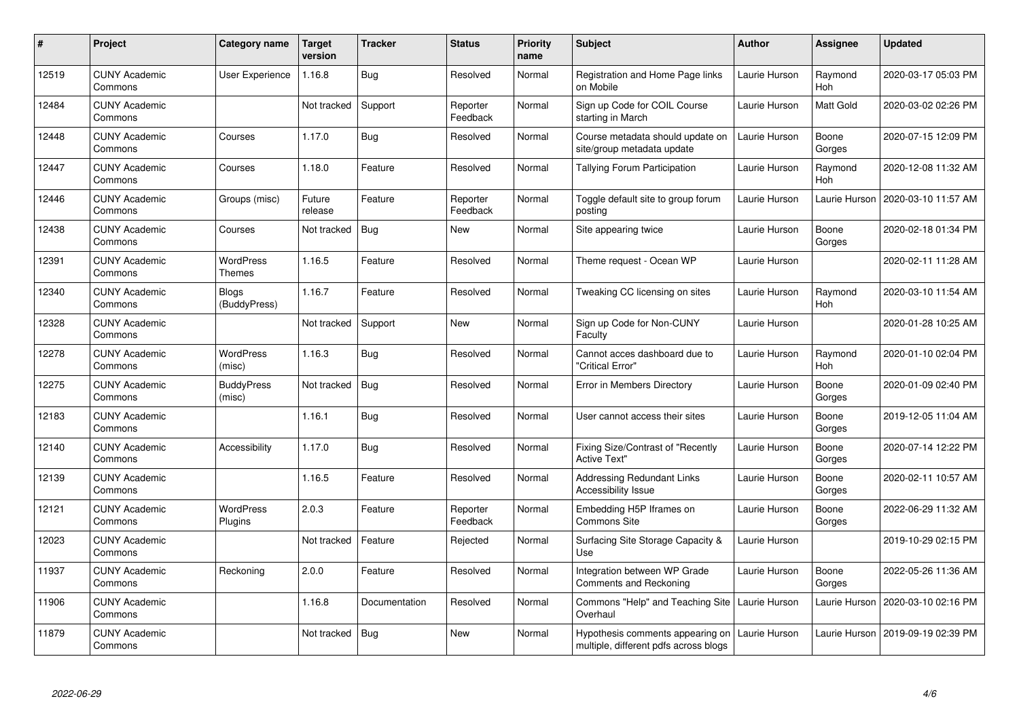| #     | Project                         | Category name                | <b>Target</b><br>version | <b>Tracker</b> | <b>Status</b>        | <b>Priority</b><br>name | <b>Subject</b>                                                            | <b>Author</b> | <b>Assignee</b> | <b>Updated</b>      |
|-------|---------------------------------|------------------------------|--------------------------|----------------|----------------------|-------------------------|---------------------------------------------------------------------------|---------------|-----------------|---------------------|
| 12519 | <b>CUNY Academic</b><br>Commons | User Experience              | 1.16.8                   | Bug            | Resolved             | Normal                  | Registration and Home Page links<br>on Mobile                             | Laurie Hurson | Raymond<br>Hoh  | 2020-03-17 05:03 PM |
| 12484 | <b>CUNY Academic</b><br>Commons |                              | Not tracked              | Support        | Reporter<br>Feedback | Normal                  | Sign up Code for COIL Course<br>starting in March                         | Laurie Hurson | Matt Gold       | 2020-03-02 02:26 PM |
| 12448 | <b>CUNY Academic</b><br>Commons | Courses                      | 1.17.0                   | <b>Bug</b>     | Resolved             | Normal                  | Course metadata should update on<br>site/group metadata update            | Laurie Hurson | Boone<br>Gorges | 2020-07-15 12:09 PM |
| 12447 | <b>CUNY Academic</b><br>Commons | Courses                      | 1.18.0                   | Feature        | Resolved             | Normal                  | Tallying Forum Participation                                              | Laurie Hurson | Raymond<br>Hoh  | 2020-12-08 11:32 AM |
| 12446 | <b>CUNY Academic</b><br>Commons | Groups (misc)                | Future<br>release        | Feature        | Reporter<br>Feedback | Normal                  | Toggle default site to group forum<br>postina                             | Laurie Hurson | Laurie Hurson   | 2020-03-10 11:57 AM |
| 12438 | <b>CUNY Academic</b><br>Commons | Courses                      | Not tracked              | <b>Bug</b>     | <b>New</b>           | Normal                  | Site appearing twice                                                      | Laurie Hurson | Boone<br>Gorges | 2020-02-18 01:34 PM |
| 12391 | <b>CUNY Academic</b><br>Commons | <b>WordPress</b><br>Themes   | 1.16.5                   | Feature        | Resolved             | Normal                  | Theme request - Ocean WP                                                  | Laurie Hurson |                 | 2020-02-11 11:28 AM |
| 12340 | <b>CUNY Academic</b><br>Commons | <b>Blogs</b><br>(BuddyPress) | 1.16.7                   | Feature        | Resolved             | Normal                  | Tweaking CC licensing on sites                                            | Laurie Hurson | Raymond<br>Hoh  | 2020-03-10 11:54 AM |
| 12328 | <b>CUNY Academic</b><br>Commons |                              | Not tracked              | Support        | <b>New</b>           | Normal                  | Sign up Code for Non-CUNY<br>Faculty                                      | Laurie Hurson |                 | 2020-01-28 10:25 AM |
| 12278 | <b>CUNY Academic</b><br>Commons | WordPress<br>(misc)          | 1.16.3                   | <b>Bug</b>     | Resolved             | Normal                  | Cannot acces dashboard due to<br>'Critical Error"                         | Laurie Hurson | Raymond<br>Hoh  | 2020-01-10 02:04 PM |
| 12275 | <b>CUNY Academic</b><br>Commons | <b>BuddyPress</b><br>(misc)  | Not tracked              | <b>Bug</b>     | Resolved             | Normal                  | Error in Members Directory                                                | Laurie Hurson | Boone<br>Gorges | 2020-01-09 02:40 PM |
| 12183 | <b>CUNY Academic</b><br>Commons |                              | 1.16.1                   | Bug            | Resolved             | Normal                  | User cannot access their sites                                            | Laurie Hurson | Boone<br>Gorges | 2019-12-05 11:04 AM |
| 12140 | <b>CUNY Academic</b><br>Commons | Accessibility                | 1.17.0                   | Bug            | Resolved             | Normal                  | <b>Fixing Size/Contrast of "Recently</b><br><b>Active Text"</b>           | Laurie Hurson | Boone<br>Gorges | 2020-07-14 12:22 PM |
| 12139 | <b>CUNY Academic</b><br>Commons |                              | 1.16.5                   | Feature        | Resolved             | Normal                  | <b>Addressing Redundant Links</b><br>Accessibility Issue                  | Laurie Hurson | Boone<br>Gorges | 2020-02-11 10:57 AM |
| 12121 | <b>CUNY Academic</b><br>Commons | <b>WordPress</b><br>Plugins  | 2.0.3                    | Feature        | Reporter<br>Feedback | Normal                  | Embedding H5P Iframes on<br>Commons Site                                  | Laurie Hurson | Boone<br>Gorges | 2022-06-29 11:32 AM |
| 12023 | <b>CUNY Academic</b><br>Commons |                              | Not tracked              | Feature        | Rejected             | Normal                  | Surfacing Site Storage Capacity &<br>Use                                  | Laurie Hurson |                 | 2019-10-29 02:15 PM |
| 11937 | <b>CUNY Academic</b><br>Commons | Reckoning                    | 2.0.0                    | Feature        | Resolved             | Normal                  | Integration between WP Grade<br>Comments and Reckoning                    | Laurie Hurson | Boone<br>Gorges | 2022-05-26 11:36 AM |
| 11906 | <b>CUNY Academic</b><br>Commons |                              | 1.16.8                   | Documentation  | Resolved             | Normal                  | Commons "Help" and Teaching Site<br>Overhaul                              | Laurie Hurson | Laurie Hurson   | 2020-03-10 02:16 PM |
| 11879 | <b>CUNY Academic</b><br>Commons |                              | Not tracked              | <b>Bug</b>     | <b>New</b>           | Normal                  | Hypothesis comments appearing on<br>multiple, different pdfs across blogs | Laurie Hurson | Laurie Hurson   | 2019-09-19 02:39 PM |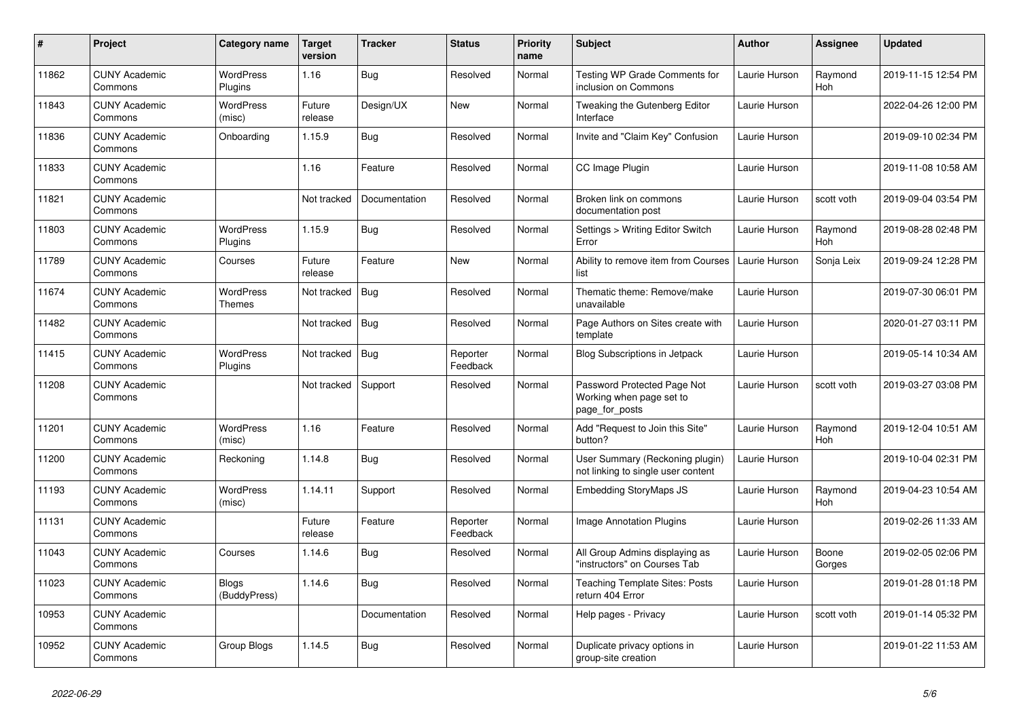| $\pmb{\sharp}$ | Project                         | Category name                | <b>Target</b><br>version | <b>Tracker</b> | <b>Status</b>        | <b>Priority</b><br>name | <b>Subject</b>                                                            | <b>Author</b> | <b>Assignee</b> | <b>Updated</b>      |
|----------------|---------------------------------|------------------------------|--------------------------|----------------|----------------------|-------------------------|---------------------------------------------------------------------------|---------------|-----------------|---------------------|
| 11862          | <b>CUNY Academic</b><br>Commons | <b>WordPress</b><br>Plugins  | 1.16                     | Bug            | Resolved             | Normal                  | Testing WP Grade Comments for<br>inclusion on Commons                     | Laurie Hurson | Raymond<br>Hoh  | 2019-11-15 12:54 PM |
| 11843          | <b>CUNY Academic</b><br>Commons | <b>WordPress</b><br>(misc)   | Future<br>release        | Design/UX      | <b>New</b>           | Normal                  | Tweaking the Gutenberg Editor<br>Interface                                | Laurie Hurson |                 | 2022-04-26 12:00 PM |
| 11836          | <b>CUNY Academic</b><br>Commons | Onboarding                   | 1.15.9                   | Bug            | Resolved             | Normal                  | Invite and "Claim Key" Confusion                                          | Laurie Hurson |                 | 2019-09-10 02:34 PM |
| 11833          | <b>CUNY Academic</b><br>Commons |                              | 1.16                     | Feature        | Resolved             | Normal                  | CC Image Plugin                                                           | Laurie Hurson |                 | 2019-11-08 10:58 AM |
| 11821          | <b>CUNY Academic</b><br>Commons |                              | Not tracked              | Documentation  | Resolved             | Normal                  | Broken link on commons<br>documentation post                              | Laurie Hurson | scott voth      | 2019-09-04 03:54 PM |
| 11803          | <b>CUNY Academic</b><br>Commons | <b>WordPress</b><br>Plugins  | 1.15.9                   | Bug            | Resolved             | Normal                  | Settings > Writing Editor Switch<br>Error                                 | Laurie Hurson | Raymond<br>Hoh  | 2019-08-28 02:48 PM |
| 11789          | <b>CUNY Academic</b><br>Commons | Courses                      | Future<br>release        | Feature        | <b>New</b>           | Normal                  | Ability to remove item from Courses<br>list                               | Laurie Hurson | Sonja Leix      | 2019-09-24 12:28 PM |
| 11674          | <b>CUNY Academic</b><br>Commons | <b>WordPress</b><br>Themes   | Not tracked              | Bug            | Resolved             | Normal                  | Thematic theme: Remove/make<br>unavailable                                | Laurie Hurson |                 | 2019-07-30 06:01 PM |
| 11482          | <b>CUNY Academic</b><br>Commons |                              | Not tracked              | Bug            | Resolved             | Normal                  | Page Authors on Sites create with<br>template                             | Laurie Hurson |                 | 2020-01-27 03:11 PM |
| 11415          | <b>CUNY Academic</b><br>Commons | <b>WordPress</b><br>Plugins  | Not tracked              | Bug            | Reporter<br>Feedback | Normal                  | <b>Blog Subscriptions in Jetpack</b>                                      | Laurie Hurson |                 | 2019-05-14 10:34 AM |
| 11208          | <b>CUNY Academic</b><br>Commons |                              | Not tracked              | Support        | Resolved             | Normal                  | Password Protected Page Not<br>Working when page set to<br>page_for_posts | Laurie Hurson | scott voth      | 2019-03-27 03:08 PM |
| 11201          | <b>CUNY Academic</b><br>Commons | <b>WordPress</b><br>(misc)   | 1.16                     | Feature        | Resolved             | Normal                  | Add "Request to Join this Site"<br>button?                                | Laurie Hurson | Raymond<br>Hoh  | 2019-12-04 10:51 AM |
| 11200          | <b>CUNY Academic</b><br>Commons | Reckoning                    | 1.14.8                   | <b>Bug</b>     | Resolved             | Normal                  | User Summary (Reckoning plugin)<br>not linking to single user content     | Laurie Hurson |                 | 2019-10-04 02:31 PM |
| 11193          | <b>CUNY Academic</b><br>Commons | WordPress<br>(misc)          | 1.14.11                  | Support        | Resolved             | Normal                  | <b>Embedding StoryMaps JS</b>                                             | Laurie Hurson | Raymond<br>Hoh  | 2019-04-23 10:54 AM |
| 11131          | <b>CUNY Academic</b><br>Commons |                              | Future<br>release        | Feature        | Reporter<br>Feedback | Normal                  | Image Annotation Plugins                                                  | Laurie Hurson |                 | 2019-02-26 11:33 AM |
| 11043          | <b>CUNY Academic</b><br>Commons | Courses                      | 1.14.6                   | <b>Bug</b>     | Resolved             | Normal                  | All Group Admins displaying as<br>'instructors" on Courses Tab            | Laurie Hurson | Boone<br>Gorges | 2019-02-05 02:06 PM |
| 11023          | <b>CUNY Academic</b><br>Commons | <b>Blogs</b><br>(BuddyPress) | 1.14.6                   | Bug            | Resolved             | Normal                  | <b>Teaching Template Sites: Posts</b><br>return 404 Error                 | Laurie Hurson |                 | 2019-01-28 01:18 PM |
| 10953          | <b>CUNY Academic</b><br>Commons |                              |                          | Documentation  | Resolved             | Normal                  | Help pages - Privacy                                                      | Laurie Hurson | scott voth      | 2019-01-14 05:32 PM |
| 10952          | <b>CUNY Academic</b><br>Commons | Group Blogs                  | 1.14.5                   | <b>Bug</b>     | Resolved             | Normal                  | Duplicate privacy options in<br>group-site creation                       | Laurie Hurson |                 | 2019-01-22 11:53 AM |